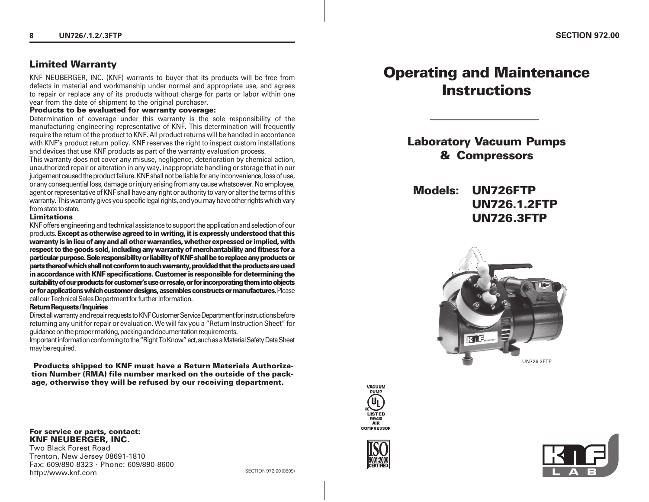# **Limited Warranty**

KNF NEUBERGER, INC. (KNF) warrants to buyer that its products will be free from defects in material and workmanship under normal and appropriate use, and agrees to repair or replace any of its products without charge for parts or labor within one year from the date of shipment to the original purchaser.

Determination of coverage under this warranty is the sole responsibility of the manufacturing engineering representative of KNF. This determination will frequently require the return of the product to KNF. All product returns will be handled in accordance with KNF's product return policy. KNF reserves the right to inspect custom installations and devices that use KNF products as part of the warranty evaluation process.

This warranty does not cover any misuse, negligence, deterioration by chemical action, unauthorized repair or alteration in any way, inappropriate handling or storage that in our judgement caused the product failure. KNF shall not be liable for any inconvenience, loss of use, or any consequential loss, damage or injury arising from any cause whatsoever. No employee, agent or representative of KNF shall have any right or authority to vary or alter the terms of this warranty. This warranty gives you specific legal rights, and you may have other rights which vary from state to state.

#### **Limitations**

KNF offers engineering and technical assistance to support the application and selection of our products. **Except as otherwise agreed to in writing, it is expressly understood that this warranty is in lieu of any and all other warranties, whether expressed or implied, with respect to the goods sold, including any warranty of merchantability and fitness for a particular purpose. Sole responsibility or liability of KNF shall be to replace any products or parts thereof which shall not conform to such warranty, provided that the products are used in accordance with KNF specifications. Customer is responsible for determining the suitability of our products for customer's use or resale, or for incorporating them into objects or for applications which customer designs, assembles constructs or manufactures.** Please call our Technical Sales Department for further information.

#### **Return Requests / Inquiries**

Direct all warranty and repair requests to KNF Customer Service Department for instructions before returning any unit for repair or evaluation. We will fax you a "Return Instruction Sheet" for guidance on the proper marking, packing and documentation requirements.

Important information conforming to the "Right To Know" act, such as a Material Safety Data Sheet may be required.

 **Products shipped to KNF must have a Return Materials Authorization Number (RMA) file number marked on the outside of the package, otherwise they will be refused by our receiving department.**

### **Products to be evaluated for warranty coverage:**

**Laboratory Vacuum Pumps & Compressors**

**Operating and Maintenance Instructions**

# **Models: UN726FTP UN726.1.2FTP UN726 .3FTP**









### **For service or parts, contact: KNF NEUBERGER, INC.**

Two Black Forest Road Trenton, New Jersey 08691-1810 Fax: 609/890-8323 · Phone: 609/890-8600 http://www.knf.com SECTION 972.00 (0809)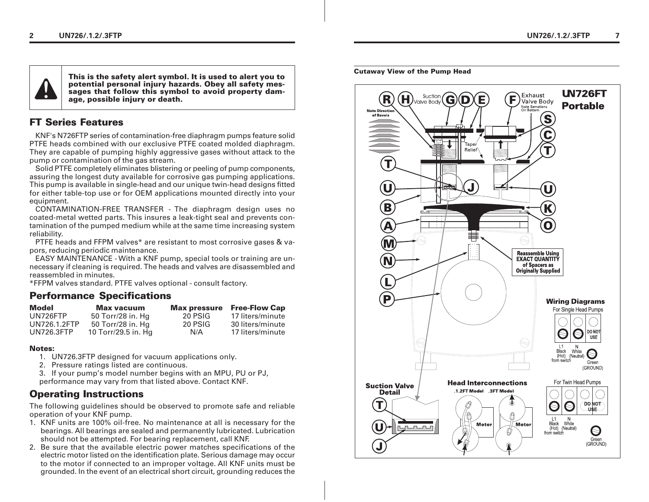

**This is the safety alert symbol. It is used to alert you to potential personal injury hazards. Obey all safety messages that follow this symbol to avoid property damage, possible injury or death.**

# **FT Series Features**

KNF's N726FTP series of contamination-free diaphragm pumps feature solid PTFE heads combined with our exclusive PTFE coated molded diaphragm. They are capable of pumping highly aggressive gases without attack to the pump or contamination of the gas stream.

Solid PTFE completely eliminates blistering or peeling of pump components, assuring the longest duty available for corrosive gas pumping applications. This pump is available in single-head and our unique twin-head designs fitted for either table-top use or for OEM applications mounted directly into your equipment.

CONTAMINATION-FREE TRANSFER - The diaphragm design uses no coated-metal wetted parts. This insures a leak-tight seal and prevents contamination of the pumped medium while at the same time increasing system reliability.

PTFE heads and FFPM valves\* are resistant to most corrosive gases & vapors, reducing periodic maintenance.

EASY MAINTENANCE - With a KNF pump, special tools or training are unnecessary if cleaning is required. The heads and valves are disassembled and reassembled in minutes.

\*FFPM valves standard. PTFE valves optional - consult factory.

### **Performance Specifications**

| Model             | <b>Max vacuum</b>   | <b>Max pressure</b> | <b>Free-Flow Cap</b> |
|-------------------|---------------------|---------------------|----------------------|
| UN726FTP          | 50 Torr/28 in. Hg   | 20 PSIG             | 17 liters/minute     |
| UN726.1.2FTP      | 50 Torr/28 in. Hg   | 20 PSIG             | 30 liters/minute     |
| <b>UN726.3FTP</b> | 10 Torr/29.5 in. Hg | N/A                 | 17 liters/minute     |

### **Notes:**

- 1. UN726.3FTP designed for vacuum applications only.
- 2. Pressure ratings listed are continuous.
- 3. If your pump's model number begins with an MPU, PU or PJ, performance may vary from that listed above. Contact KNF.

## **Operating Instructions**

The following guidelines should be observed to promote safe and reliable operation of your KNF pump.

- 1. KNF units are 100% oil-free. No maintenance at all is necessary for the bearings. All bearings are sealed and permanently lubricated. Lubrication should not be attempted. For bearing replacement, call KNF.
- 2. Be sure that the available electric power matches specifications of the electric motor listed on the identification plate. Serious damage may occur to the motor if connected to an improper voltage. All KNF units must be grounded. In the event of an electrical short circuit, grounding reduces the

#### **Cutaway View of the Pump Head**

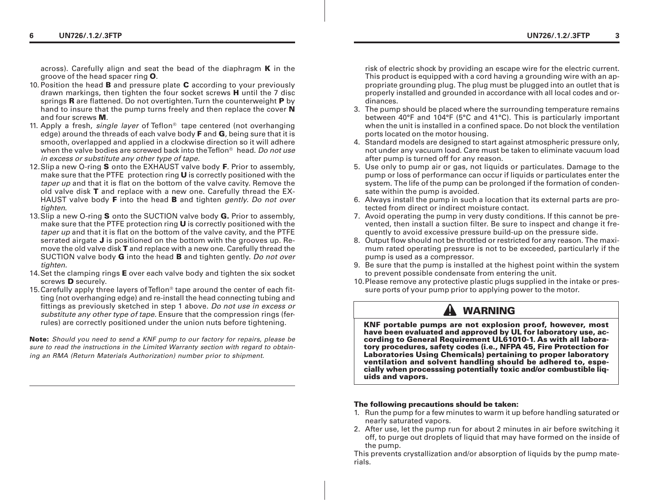across). Carefully align and seat the bead of the diaphragm **K** in the groove of the head spacer ring **O**.

- 10. Position the head **B** and pressure plate **C** according to your previously drawn markings, then tighten the four socket screws **H** until the 7 disc springs **R** are flattened. Do not overtighten. Turn the counterweight **P** by hand to insure that the pump turns freely and then replace the cover **N** and four screws **M**.
- 11. Apply a fresh, single layer of Teflon<sup>®</sup> tape centered (not overhanging edge) around the threads of each valve body **F** and **G**, being sure that it is smooth, overlapped and applied in a clockwise direction so it will adhere when the valve bodies are screwed back into the  $\text{Teflon}^{\otimes}$  head. Do not use in excess or substitute any other type of tape.
- 12.Slip a new O-ring **S** onto the EXHAUST valve body **F**. Prior to assembly, make sure that the PTFE protection ring **U** is correctly positioned with the taper up and that it is flat on the bottom of the valve cavity. Remove the old valve disk **T** and replace with a new one. Carefully thread the EX-HAUST valve body **F** into the head **B** and tighten gently. Do not over tighten.
- 13.Slip a new O-ring **S** onto the SUCTION valve body **G.** Prior to assembly, make sure that the PTFE protection ring **U** is correctly positioned with the taper up and that it is flat on the bottom of the valve cavity, and the PTFE serrated airgate **J** is positioned on the bottom with the grooves up. Remove the old valve disk **T** and replace with a new one. Carefully thread the SUCTION valve body **G** into the head **B** and tighten gently. Do not over tighten.
- 14.Set the clamping rings **E** over each valve body and tighten the six socket screws **D** securely.
- 15.Carefully apply three layers of Teflon® tape around the center of each fitting (not overhanging edge) and re-install the head connecting tubing and fittings as previously sketched in step 1 above. Do not use in excess or substitute any other type of tape. Ensure that the compression rings (ferrules) are correctly positioned under the union nuts before tightening.

**Note:** Should you need to send a KNF pump to our factory for repairs, please be sure to read the instructions in the Limited Warranty section with regard to obtaining an RMA (Return Materials Authorization) number prior to shipment.

risk of electric shock by providing an escape wire for the electric current. This product is equipped with a cord having a grounding wire with an appropriate grounding plug. The plug must be plugged into an outlet that is properly installed and grounded in accordance with all local codes and ordinances.

- 3. The pump should be placed where the surrounding temperature remains between 40°F and 104°F (5°C and 41°C). This is particularly important when the unit is installed in a confined space. Do not block the ventilation ports located on the motor housing.
- 4. Standard models are designed to start against atmospheric pressure only, not under any vacuum load. Care must be taken to eliminate vacuum load after pump is turned off for any reason.
- 5. Use only to pump air or gas, not liquids or particulates. Damage to the pump or loss of performance can occur if liquids or particulates enter the system. The life of the pump can be prolonged if the formation of condensate within the pump is avoided.
- 6. Always install the pump in such a location that its external parts are protected from direct or indirect moisture contact.
- 7. Avoid operating the pump in very dusty conditions. If this cannot be prevented, then install a suction filter. Be sure to inspect and change it frequently to avoid excessive pressure build-up on the pressure side.
- 8. Output flow should not be throttled or restricted for any reason. The maximum rated operating pressure is not to be exceeded, particularly if the pump is used as a compressor.
- 9. Be sure that the pump is installed at the highest point within the system to prevent possible condensate from entering the unit.
- 10.Please remove any protective plastic plugs supplied in the intake or pressure ports of your pump prior to applying power to the motor.

# **WARNING**

**KNF portable pumps are not explosion proof, however, most have been evaluated and approved by UL for laboratory use, according to General Requirement UL61010-1. As with all laboratory procedures, safety codes (i.e., NFPA 45, Fire Protection for Laboratories Using Chemicals) pertaining to proper laboratory ventilation and solvent handling should be adhered to, especially when processsing potentially toxic and/or combustible liquids and vapors.**

#### **The following precautions should be taken:**

- 1. Run the pump for a few minutes to warm it up before handling saturated or nearly saturated vapors.
- 2. After use, let the pump run for about 2 minutes in air before switching it off, to purge out droplets of liquid that may have formed on the inside of the pump.

This prevents crystallization and/or absorption of liquids by the pump materials.